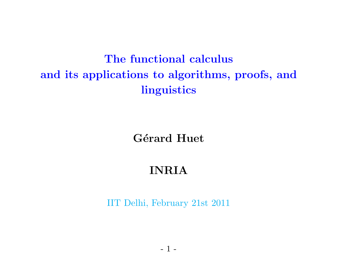# The functional calculus and its applications to algorithms, proofs, and linguistics

Gérard Huet

### INRIA

IIT Delhi, February 21st 2011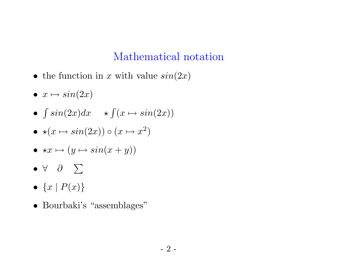### Mathematical notation

- the function in x with value  $sin(2x)$
- $x \mapsto \sin(2x)$
- $\int \sin(2x)dx \quad \star \int (x \mapsto \sin(2x))$
- $\star(x \mapsto \sin(2x)) \circ (x \mapsto x^2)$
- $\star x \mapsto (y \mapsto \sin(x+y))$
- •∀ ∂ ∑
- $\bullet\;\left\{ x\mid P(x)\right\}$
- Bourbaki's "assemblages"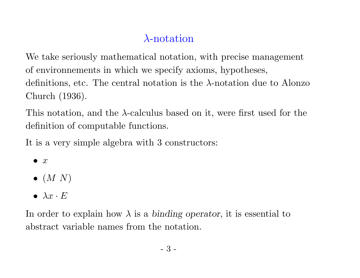## λ-notation

We take seriously mathematical notation, with precise management of environnements in which we specify axioms, hypotheses, definitions, etc. The central notation is the  $\lambda$ -notation due to Alonzo Church (1936).

This notation, and the  $\lambda$ -calculus based on it, were first used for the definition of computable functions.

It is <sup>a</sup> very simple algebra with 3 constructors:

- $\bullet$  x
- $\bullet$   $(M N)$
- $\lambda x \cdot E$

In order to explain how  $\lambda$  is a binding operator, it is essential to abstract variable names from the notation.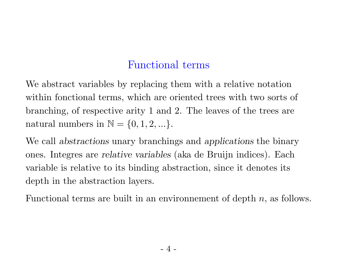### Functional terms

We abstract variables by replacing them with a relative notation within fonctional terms, which are oriented trees with two sorts of branching, of respective arity 1 and 2. The leaves of the trees are natural numbers in  $\mathbb{N} = \{0, 1, 2, ...\}.$ 

We call abstractions unary branchings and applications the binary ones. Integres are relative variables (aka de Bruijn indices). Each variable is relative to its binding abstraction, since it denotes its depth in the abstraction layers.

Functional terms are built in an environmement of depth  $n$ , as follows.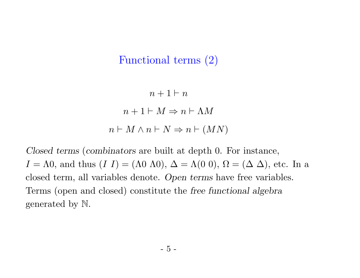#### Functional terms (2)

 $n+1 \vdash n$  $n+1 \vdash M \Rightarrow n \vdash \Lambda M$  $n \vdash M \land n \vdash N \Rightarrow n \vdash (MN)$ 

Closed terms (combinators are built at depth 0. For instance,  $I = \Lambda 0$ , and thus  $(I I) = (\Lambda 0 \Lambda 0), \Delta = \Lambda (0 \Lambda 0), \Omega = (\Delta \Delta)$ , etc. In a closed term, all variables denote. Open terms have free variables. Terms (open and closed) constitute the free functional algebra generated by N.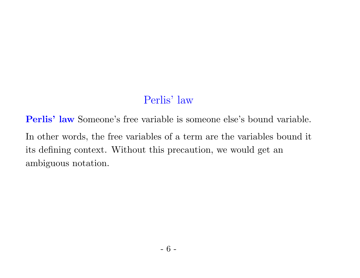### Perlis' law

Perlis' law Someone's free variable is someone else's bound variable. In other words, the free variables of <sup>a</sup> term are the variables bound it its defining context. Without this precaution, we would get an ambiguous notation.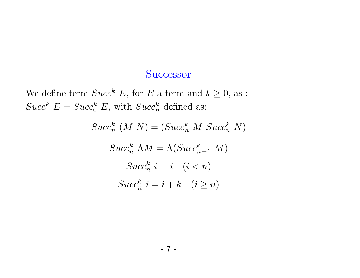#### **Successor**

We define term  $Succ^k E$ , for E a term and  $k \geq 0$ , as :  $Succ^{k} E = Succ^{k}_{0} E$ , with  $Succ^{k}_{n}$  defined as:

$$
Succ_n^k (M|N) = (Succ_n^k M|Succ_n^k N)
$$
  
\n
$$
Succ_n^k \Lambda M = \Lambda (Succ_{n+1}^k M)
$$
  
\n
$$
Succ_n^k i = i \quad (i < n)
$$
  
\n
$$
Succ_n^k i = i + k \quad (i \ge n)
$$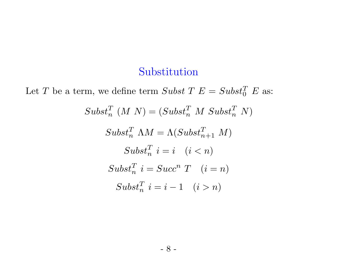#### Substitution

Let T be a term, we define term Subst T  $E = Subst_0^T E$  as:  $Subst_n^T(M N) = (Subst_n^T M Subst_n^T N)$  $Subst_n^T \Lambda M = \Lambda (Subst_{n+1}^T M)$  $Subst_n^T$   $i = i \quad (i < n)$  $Subst_n^T$   $i = Succ^n$   $T$   $(i = n)$  $Subst_n^T$   $i = i - 1$   $(i > n)$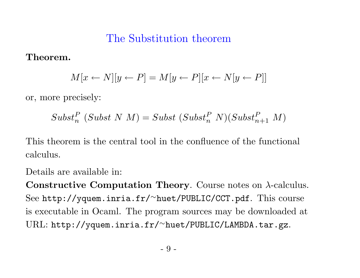#### The Substitution theorem

Theorem.

$$
M[x \leftarrow N][y \leftarrow P] = M[y \leftarrow P][x \leftarrow N[y \leftarrow P]]
$$

or, more precisely:

$$
Subst_n^P (Subst N M) = Subst (Subst_n^P N)(Subst_{n+1}^P M)
$$

This theorem is the central tool in the confluence of the functional calculus.

Details are available in:

 $\bf Constructive\ Computation\ Theory.$  Course notes on  $\lambda\text{-calculus}.$ See http://yquem.inria.fr/ <sup>∼</sup>huet/PUBLIC/CCT.pdf. This course is executable in Ocaml. The program sources may be downloaded at URL: http://yquem.inria.fr/ <sup>∼</sup>huet/PUBLIC/LAMBDA.tar.gz.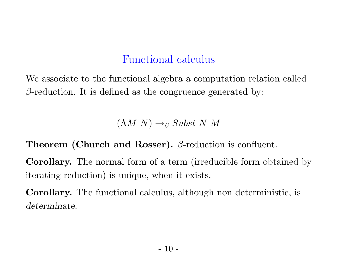### Functional calculus

We associate to the functional algebra a computation relation called  $\beta$ -reduction. It is defined as the congruence generated by:

 $(\Lambda M N) \rightarrow_{\beta} Subst N M$ 

**Theorem (Church and Rosser).**  $\beta$ -reduction is confluent.

Corollary. The normal form of <sup>a</sup> term (irreducible form obtained by iterating reduction) is unique, when it exists.

Corollary. The functional calculus, although non deterministic, is determinate.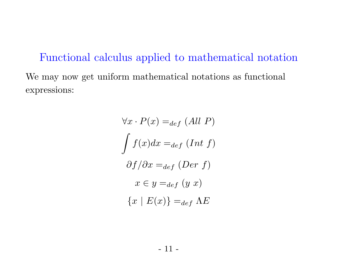Functional calculus applied to mathematical notation We may now get uniform mathematical notations as functional expressions:

$$
\forall x \cdot P(x) =_{def} (All \ P)
$$

$$
\int f(x)dx =_{def} (Int \ f)
$$

$$
\partial f/\partial x =_{def} (Der \ f)
$$

$$
x \in y =_{def} (y \ x)
$$

$$
\{x \mid E(x)\} =_{def} \Lambda E
$$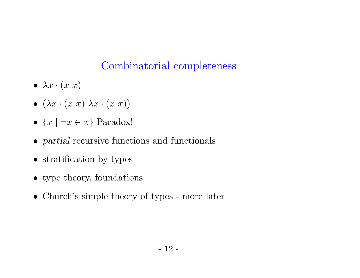## Combinatorial completeness

- $\bullet\ \lambda x\cdot(x\,\,x)$
- $\bullet$   $(\lambda x \cdot (x\ x)\ \lambda x \cdot (x\ x))$
- $\{x \mid \neg x \in x\}$  Paradox!
- partial recursive functions and functionals
- stratification by types
- type theory, foundations
- Church's simple theory of types more later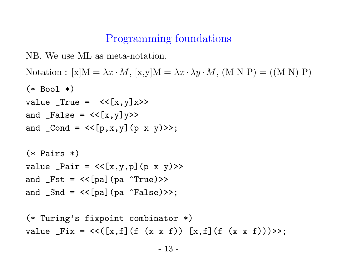### Programming foundations

NB. We use ML as meta-notation.

```
Notation : [x]M = \lambda x \cdot M, [x,y]M = \lambda x \cdot \lambda y \cdot M, (M N P) = ((M N) P)
(* Bool *)\verb|value _True = \ <\verb|{x,y}]{x>>}and _False = \texttt{<<}[x,y]y>>
and _Cond = <<[p,x,y](p x y)>>;
(* Pairs *)
value _Pair = <<[x,y,p](p x y)>>
and _Fst = <<[pa](pa ^True)>>
and _Snd = <<[pa](pa ^False)>>;
```

```
(* Turing's fixpoint combinator *)
value _Fix = <<([x,f](f (x x f)) [x,f](f (x x f)))>>;
```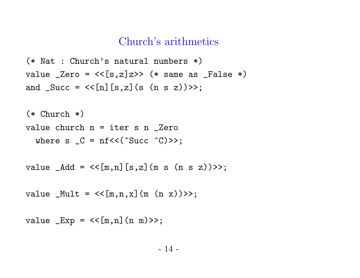#### Church's arithmetics

```
(* Nat : Church's natural numbers *)
value _Zero = <<[s,z]z>> (* same as _False *)
and _Succ = <<[n][s,z](s (n s z))>>;
```

```
(* Church *)
value church n = iter s n _Zero
  where s _C = nf<<(^Succ ^C)>>;
```

```
value _Add = <<[m,n][s,z](m s (n s z))>>;
```

```
value _Mult = <<[m,n,x](m (n x))>>;
```

```
value _Exp = <<[m,n](n m)>>;
```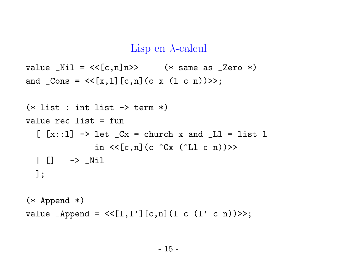#### Lisp en  $\lambda$ -calcul

```
value _Nil = <<[c,n]n>> (* same as _Zero *)
and _Cons = <<[x,l][c,n](c x (l c n))>>;
```

```
(* list : int list \rightarrow term *)value rec list = fun
   \left[ \left[x::1\right] -> let \left[Cx = \text{church } x \text{ and } \left[L1 = 1\right] ist 1
                         in \langle \langle c,n \rangle (c \hat{c} \langle c \rangle (\langleLl c n)) >>
   | [] -> _Nil
   ];
```

```
(* Append *)
value _Append = <<[1,1'][c,n](1 c (1' c n))>>;
```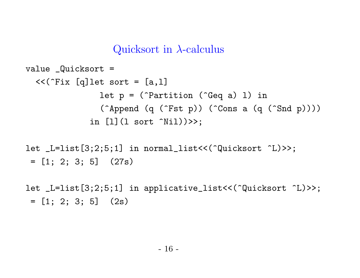#### Quicksort in  $\lambda$ -calculus

```
value _Quicksort =
  << (Fix [q]let sort = [a,1]
                  let p = (<sup>-</sup>Partition (<sup>-</sup>Geq a) l) in
                  (^Append (q (^Fst p)) (^Cons a (q (^Snd p))))
               in [1] (1 sort \hat{N}il))>>;
```

```
let _L=list[3;2;5;1] in normal_list<<(^Quicksort ^L)>>;
= [1; 2; 3; 5] (27s)
```
let \_L=list[3;2;5;1] in applicative\_list<<(^Quicksort ^L)>>;  $= [1; 2; 3; 5]$  (2s)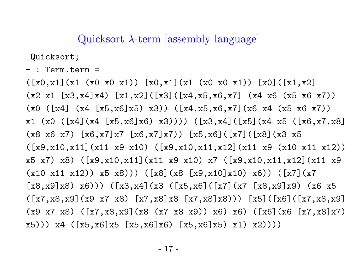Quicksort  $\lambda$ -term [assembly language]

\_Quicksort;

- : Term.term <sup>=</sup>

 $([x0,x1](x1 (x0 x0 x1)) [x0,x1](x1 (x0 x0 x1)) [x0](x1,x2]$  $(x2 \times 1 \quad [x3, x4] \times 4) \quad [x1, x2] ([x3] ([x4, x5, x6, x7] \quad (x4 \times 6 \quad (x5 \times 6 \quad x7))$  $(x0 \ (x4) \ (x4 \ [x5, x6] x5) \ x3))$   $(x4, x5, x6, x7]$   $(x6 \ x4 \ (x5 \ x6 \ x7))$ x1 (x0 ([x4](x4 [x5,x6]x6) x3)))) ([x3,x4]([x5](x4 x5 ([x6,x7,x8] (x8 x6 x7) [x6,x7]x7 [x6,x7]x7)) [x5,x6]([x7]([x8](x3 x5 ([x9,x10,x11](x11 x9 x10) ([x9,x10,x11,x12](x11 x9 (x10 x11 x12)) x5 x7) x8) ([x9,x10,x11](x11 x9 x10) x7 ([x9,x10,x11,x12](x11 x9  $(x10 x11 x12)$   $(x5 x8)$ )  $([x8](x8 [x9,x10]x10) x6)$   $([x7](x7)$  $[x8, x9]x8)$   $x6))$   $([x3, x4]$  $(x3$   $([x5, x6]$  $([x7] (x7) [x8, x9]x9)$   $(x6 x5)$  $([x7,x8,x9](x9 x7 x8) [x7,x8]x8 [x7,x8]x8))$  [x5]([x6]([x7,x8,x9] (x9 x7 x8) ([x7,x8,x9](x8 (x7 x8 x9)) x6) x6) ([x6](x6 [x7,x8]x7) x5))) x4 ([x5,x6]x5 [x5,x6]x6) [x5,x6]x5) x1) x2))))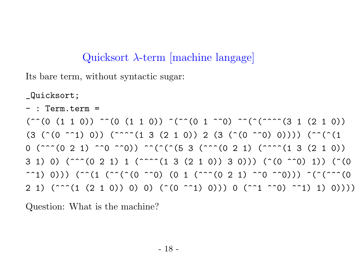## Quicksort  $\lambda$ -term [machine langage]

Its bare term, without syntactic sugar:

\_Quicksort;

- : Term.term <sup>=</sup>

 $(^{\sim}$ (0 (1 1 0))  $^{\sim}$ (0 (1 1 0))  $^{\sim}$ ( $^{\sim}$ (0 1  $^{\sim}$ 0)  $^{\sim}$ ( $^{\sim}$ ( $^{\sim}$ ( $^{\sim}$ ( $^{\sim}$ ( $^{\sim}$ ( $^{\sim}$ ( $^{\sim}$ ( $^{\sim}$ ( $^{\sim}$ ( $^{\sim}$ ( $^{\sim}$ ( $^{\sim}$ ( $^{\sim}$ ( $^{\sim}$ ( $^{\sim}$ ( $^{\sim}$ ( $^{\sim}$ ( $^{\sim}$ ( $^{\sim}$ ( $^{\sim}$ ( $^{\sim}$ ( $^{\sim$  $(3$  (^(0 ^^1) 0)) (^^^^(1 3 (2 1 0)) 2 (3 (^(0 ^^0) 0)))) (^^(^(1)  $0$  (^^^(0 2 1) ^^0 ^^0)) ^^(^(^(5 3 (^^^(0 2 1) (^^^^(1 3 (2 1 0)) 3 1) 0) (^^^(0 2 1) 1 (^^^^(1 3 (2 1 0)) 3 0))) (^(0 ^^0) 1)) (^(0 ^^1) 0))) (^^(1 (^^(^(0 ^^0) (0 1 (^^^(0 2 1) ^^0 ^^0))) ^(^(^^^(0  $2$  1) (^^^(1 (2 1 0)) 0) 0) (^(0 ^^1) 0))) 0 (^^1 ^^0) ^^1) 1) 0))))

Question: What is the machine?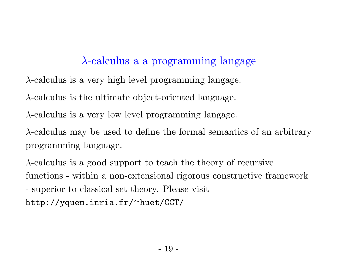## λ-calculus <sup>a</sup> <sup>a</sup> programming langage

 $\lambda$ -calculus is a very high level programming langage.

 $\lambda$ -calculus is the ultimate object-oriented language.

 $\lambda$ -calculus is a very low level programming langage.

 $\lambda$ -calculus may be used to define the formal semantics of an arbitrary programming language.

 $\lambda$ -calculus is a good support to teach the theory of recursive functions - within <sup>a</sup> non-extensional rigorous constructive framework - superior to classical set theory. Please visit http://yquem.inria.fr/∼huet/CCT/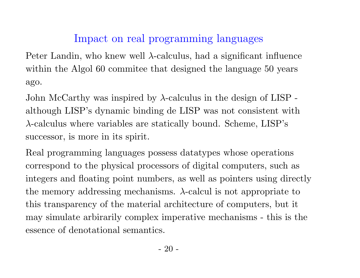### Impact on real programming languages

Peter Landin, who knew well  $\lambda$ -calculus, had a significant influence within the Algol 60 commitee that designed the language 50 years ago.

John McCarthy was inspired by  $\lambda$ -calculus in the design of LISP although LISP's dynamic binding de LISP was not consistent with  $\lambda$ -calculus where variables are statically bound. Scheme, LISP's successor, is more in its spirit.

Real programming languages possess datatypes whose operations correspond to the <sup>p</sup>hysical processors of digital computers, such as integers and floating point numbers, as well as pointers using directly the memory addressing mechanisms.  $\lambda$ -calcul is not appropriate to this transparency of the material architecture of computers, but it may simulate arbirarily complex imperative mechanisms - this is the essence of denotational semantics.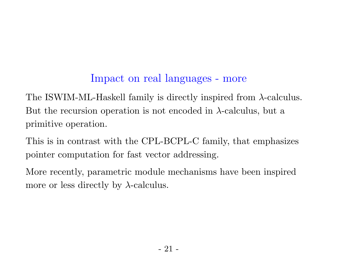## Impact on real languages - more

The ISWIM-ML-Haskell family is directly inspired from λ-calculus. But the recursion operation is not encoded in  $\lambda$ -calculus, but a primitive operation.

This is in contrast with the CPL-BCPL-C family, that emphasizes pointer computation for fast vector addressing.

More recently, parametric module mechanisms have been inspired more or less directly by  $\lambda$ -calculus.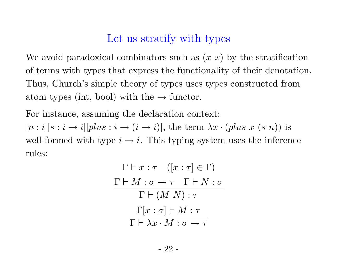#### Let us stratify with types

We avoid paradoxical combinators such as  $(x x)$  by the stratification of terms with types that express the functionality of their denotation. Thus, Church's simple theory of types uses types constructed from atom types (int, bool) with the  $\rightarrow$  functor.

For instance, assuming the declaration context:

 $[n: i][s: i \rightarrow i][plus: i \rightarrow (i \rightarrow i)],$  the term  $\lambda x \cdot (plus x (s n))$  is well-formed with type  $i \to i$ . This typing system uses the inference rules:

$$
\Gamma \vdash x : \tau \quad ([x : \tau] \in \Gamma)
$$
\n
$$
\frac{\Gamma \vdash M : \sigma \to \tau \quad \Gamma \vdash N : \sigma}{\Gamma \vdash (M \ N) : \tau}
$$
\n
$$
\frac{\Gamma[x : \sigma] \vdash M : \tau}{\Gamma \vdash \lambda x \cdot M : \sigma \to \tau}
$$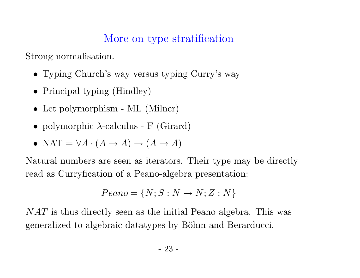#### More on type stratification

Strong normalisation.

- Typing Church's way versus typing Curry's way
- Principal typing (Hindley)
- Let polymorphism ML (Milner)
- polymorphic  $\lambda$ -calculus F (Girard)
- NAT =  $\forall A \cdot (A \rightarrow A) \rightarrow (A \rightarrow A)$

Natural numbers are seen as iterators. Their type may be directly read as Curryfication of <sup>a</sup> Peano-algebra presentation:

$$
Peano = \{N; S:N \rightarrow N; Z:N\}
$$

NAT is thus directly seen as the initial Peano algebra. This was generalized to algebraic datatypes by Böhm and Berarducci.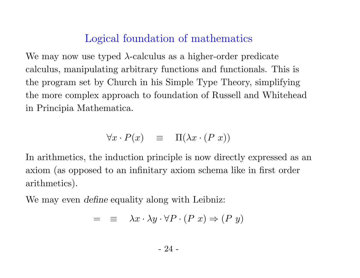#### Logical foundation of mathematics

We may now use typed  $\lambda$ -calculus as a higher-order predicate calculus, manipulating arbitrary functions and functionals. This is the program set by Church in his Simple Type Theory, simplifying the more complex approach to foundation of Russell and Whitehead in Principia Mathematica.

$$
\forall x \cdot P(x) \equiv \Pi(\lambda x \cdot (P \ x))
$$

In arithmetics, the induction principle is now directly expressed as an axiom (as opposed to an infinitary axiom schema like in first order arithmetics).

We may even *define* equality along with Leibniz:

$$
= \equiv \lambda x \cdot \lambda y \cdot \forall P \cdot (P \ x) \Rightarrow (P \ y)
$$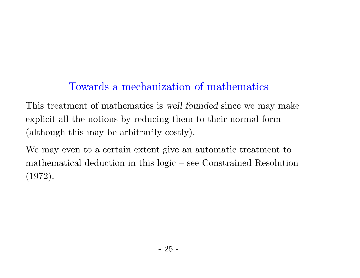### Towards <sup>a</sup> mechanization of mathematics

This treatment of mathematics is well founded since we may make explicit all the notions by reducing them to their normal for m (although this may be arbitrarily costly).

We may even to a certain extent give an automatic treatment to mathematical deduction in this logic – see Constrained Resolution (1972).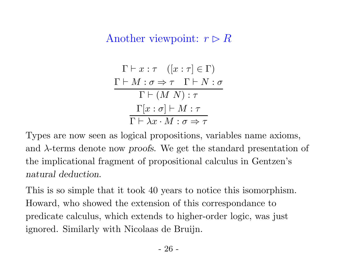### Another viewpoint:  $r \triangleright R$

$$
\Gamma \vdash x : \tau \quad ([x : \tau] \in \Gamma)
$$
\n
$$
\frac{\Gamma \vdash M : \sigma \Rightarrow \tau \quad \Gamma \vdash N : \sigma}{\Gamma \vdash (M \ N) : \tau}
$$
\n
$$
\frac{\Gamma[x : \sigma] \vdash M : \tau}{\Gamma \vdash \lambda x \cdot M : \sigma \Rightarrow \tau}
$$

Types are now seen as logical propositions, variables name axioms, and  $\lambda$ -terms denote now proofs. We get the standard presentation of the implicational fragment of propositional calculus in Gentzen's natural deduction.

This is so simple that it took 40 years to notice this isomorphism. Howard, who showed the extension of this correspondance to predicate calculus, which extends to higher-order logic, was just ignored. Similarly with Nicolaas de Bruijn.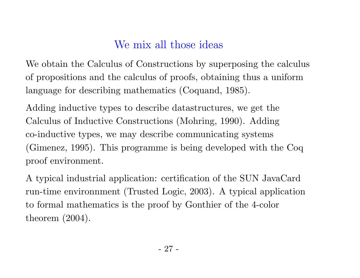### We mix all those ideas

We obtain the Calculus of Constructions by superposing the calculus of propositions and the calculus of proofs, obtaining thus a uniform language for describing mathematics (Coquand, 1985).

Adding inductive types to describe datastructures, we get the Calculus of Inductive Constructions (Mohring, 1990). Adding co-inductive types, we may describe communicating systems (Gimenez, 1995). This programme is being developed with the Coq proof environment.

A typical industrial application: certification of the SUN JavaCard run-time environnment (Trusted Logic, 2003). A typical application to formal mathematics is the proof by Gonthier of the 4-color theorem (2004).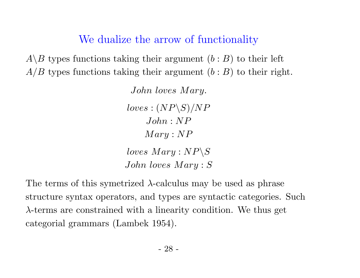We dualize the arrow of functionality

 $A \backslash B$  types functions taking their argument  $(b : B)$  to their left  $A/B$  types functions taking their argument  $(b : B)$  to their right.

> John loves Mary.  $loves: (NP\backslash S)/NP$  $John : NP$  $Mary : NP$  $loves~Mary: NP\backslash S$ John loves  $Mary : S$

The terms of this symetrized  $\lambda$ -calculus may be used as phrase structure syntax operators, and types are syntactic categories. Such  $\lambda$ -terms are constrained with a linearity condition. We thus get categorial grammars (Lambek 1954).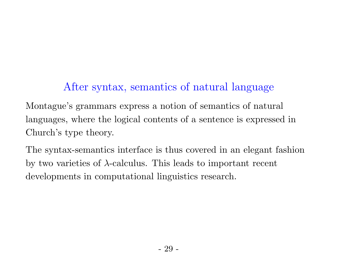# After syntax, semantics of natural language

Montague's grammars express a notion of semantics of natura l languages, where the logical contents of a sentence is expressed in Church's type theory.

The syntax-semantics interface is thus covered in an elegant fashion by two varieties of  $\lambda$ -calculus. This leads to important recent developments in computational linguistics research.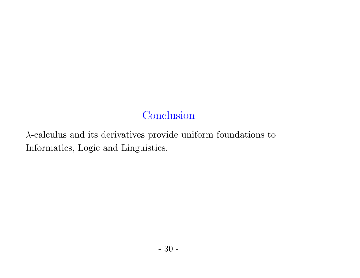# **Conclusion**

 $\lambda\text{-calculus}$  and its derivatives provide uniform foundations to Informatics, Logic and Linguistics.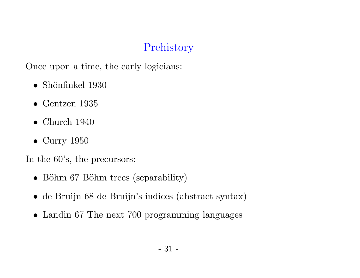## Prehistory

Once upon <sup>a</sup> time, the early logicians:

- $\bullet\,$ Shönfinkel 1930
- $\bullet$  Gentzen 1935
- $\bullet$  Church 1940
- Curry 1950

In the 60's, the precursors:

- Böhm 67 Böhm trees (separability)
- de Bruijn <sup>68</sup> de Bruijn's indices (abstract syntax)
- Landin 67 The next 700 programming languages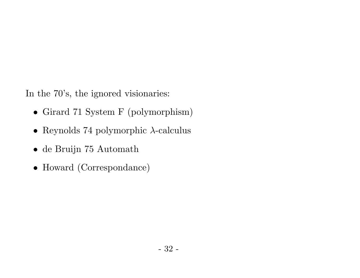In the 70's, the ignored visionaries:

- Girard 71 System F (polymorphism)
- Reynolds 74 polymorphic  $\lambda$ -calculus
- de Bruijn 75 Automath
- Howard (Correspondance)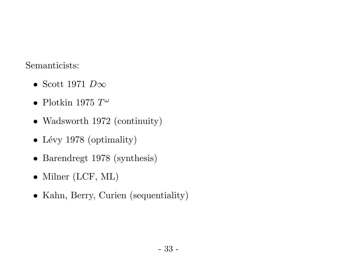#### Semanticists:

- Scott 1971  $D\infty$
- $\bullet~$  Plotkin 1975  $T^\omega$
- Wadsworth 1972 (continuity)
- Lévy 1978 (optimality)
- Barendregt <sup>1978</sup> (synthesis)
- Milner (LCF, ML)
- Kahn, Berry, Curien (sequentiality)